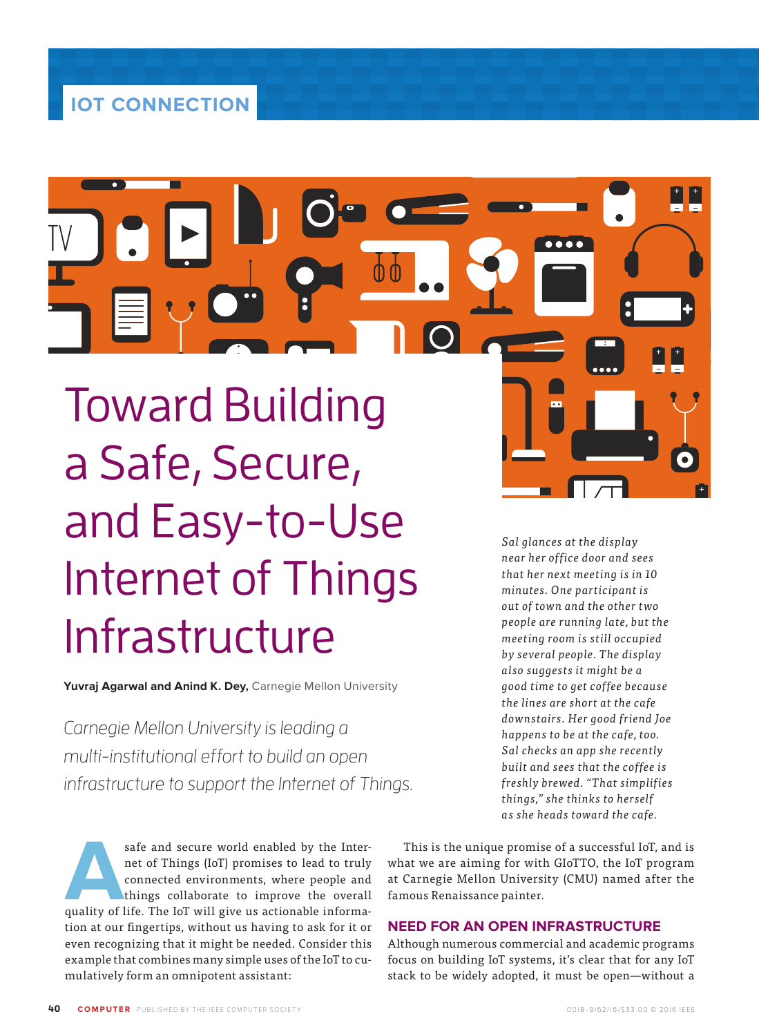Toward Building a Safe, Secure, and Easy-to-Use Internet of Things Infrastructure

**Yuvraj Agarwal and Anind K. Dey,** Carnegie Mellon University

Carnegie Mellon University is leading a multi-institutional effort to build an open infrastructure to support the Internet of Things.

safe and secure world enabled by the Internet of Things (IoT) promises to lead to truly connected environments, where people and things collaborate to improve the overall quality of life. The IoT will give us actionable in net of Things (IoT) promises to lead to truly connected environments, where people and things collaborate to improve the overall tion at our fingertips, without us having to ask for it or even recognizing that it might be needed. Consider this example that combines many simple uses of the IoT to cumulatively form an omnipotent assistant:

This is the unique promise of a successful IoT, and is what we are aiming for with GIoTTO, the IoT program at Carnegie Mellon University (CMU) named after the famous Renaissance painter.

# **NEED FOR AN OPEN INFRASTRUCTURE**

Although numerous commercial and academic programs focus on building IoT systems, it's clear that for any IoT stack to be widely adopted, it must be open—without a

*the lines are short at the cafe downstairs. Her good friend Joe happens to be at the cafe, too. Sal checks an app she recently built and sees that the coffee is freshly brewed. "That simplifies things," she thinks to herself as she heads toward the cafe.* 

*Sal glances at the display near her office door and sees that her next meeting is in 10 minutes. One participant is out of town and the other two people are running late, but the meeting room is still occupied by several people. The display also suggests it might be a good time to get coffee because*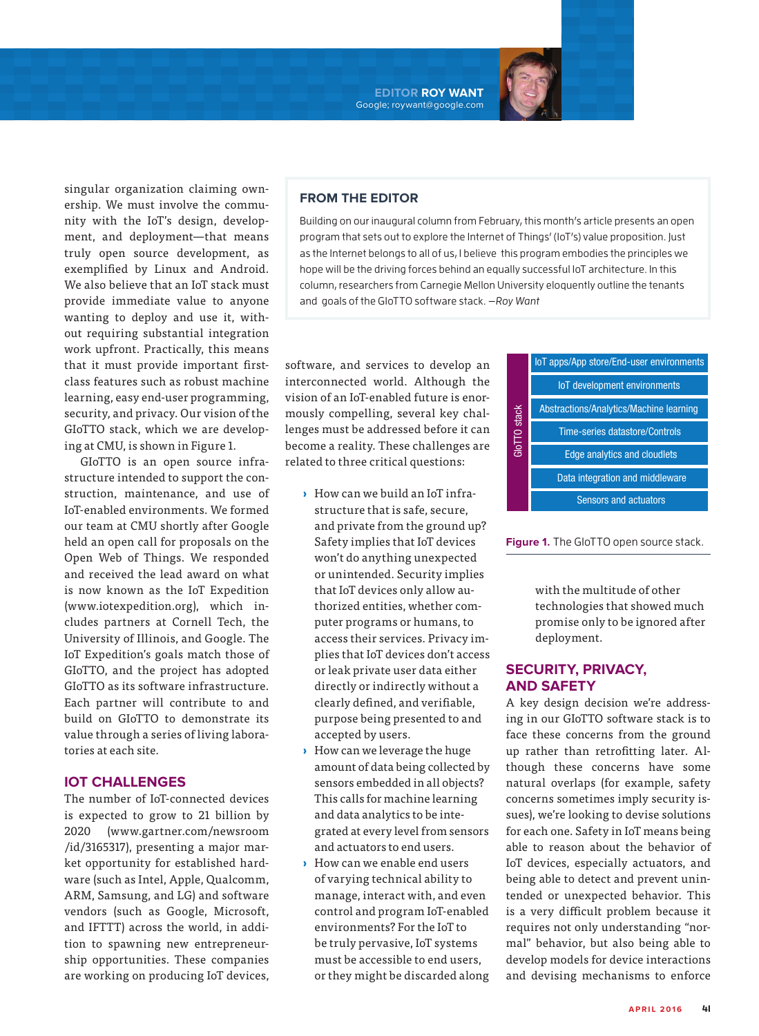**EDITOR ROY WANT** Google; roywant@google.com



GIoTTO is an open source infrastructure intended to support the construction, maintenance, and use of IoT-enabled environments. We formed our team at CMU shortly after Google held an open call for proposals on the Open Web of Things. We responded and received the lead award on what is now known as the IoT Expedition (www.iotexpedition.org), which includes partners at Cornell Tech, the University of Illinois, and Google. The IoT Expedition's goals match those of GIoTTO, and the project has adopted GIoTTO as its software infrastructure. Each partner will contribute to and build on GIoTTO to demonstrate its value through a series of living laboratories at each site.

## **IOT CHALLENGES**

The number of IoT-connected devices is expected to grow to 21 billion by 2020 (www.gartner.com/newsroom /id/3165317), presenting a major market opportunity for established hardware (such as Intel, Apple, Qualcomm, ARM, Samsung, and LG) and software vendors (such as Google, Microsoft, and IFTTT) across the world, in addition to spawning new entrepreneurship opportunities. These companies are working on producing IoT devices,

## **FROM THE EDITOR**

Building on our inaugural column from February, this month's article presents an open program that sets out to explore the Internet of Things' (IoT's) value proposition. Just as the Internet belongs to all of us, I believe this program embodies the principles we hope will be the driving forces behind an equally successful IoT architecture. In this column, researchers from Carnegie Mellon University eloquently outline the tenants and goals of the GIoTTO software stack. —Roy Want

software, and services to develop an interconnected world. Although the vision of an IoT-enabled future is enormously compelling, several key challenges must be addressed before it can become a reality. These challenges are related to three critical questions:

- **›** How can we build an IoT infrastructure that is safe, secure, and private from the ground up? Safety implies that IoT devices won't do anything unexpected or unintended. Security implies that IoT devices only allow authorized entities, whether computer programs or humans, to access their services. Privacy implies that IoT devices don't access or leak private user data either directly or indirectly without a clearly defined, and verifiable, purpose being presented to and accepted by users.
- **›** How can we leverage the huge amount of data being collected by sensors embedded in all objects? This calls for machine learning and data analytics to be integrated at every level from sensors and actuators to end users.
- **›** How can we enable end users of varying technical ability to manage, interact with, and even control and program IoT-enabled environments? For the IoT to be truly pervasive, IoT systems must be accessible to end users, or they might be discarded along

| GIOTTO stack | IoT apps/App store/End-user environments       |
|--------------|------------------------------------------------|
|              | loT development environments                   |
|              | <b>Abstractions/Analytics/Machine learning</b> |
|              | Time-series datastore/Controls                 |
|              | <b>Edge analytics and cloudlets</b>            |
|              | Data integration and middleware                |
|              | <b>Sensors and actuators</b>                   |

**Figure 1.** The GIoTTO open source stack.

with the multitude of other technologies that showed much promise only to be ignored after deployment.

# **SECURITY, PRIVACY, AND SAFETY**

A key design decision we're addressing in our GIoTTO software stack is to face these concerns from the ground up rather than retrofitting later. Although these concerns have some natural overlaps (for example, safety concerns sometimes imply security issues), we're looking to devise solutions for each one. Safety in IoT means being able to reason about the behavior of IoT devices, especially actuators, and being able to detect and prevent unintended or unexpected behavior. This is a very difficult problem because it requires not only understanding "normal" behavior, but also being able to develop models for device interactions and devising mechanisms to enforce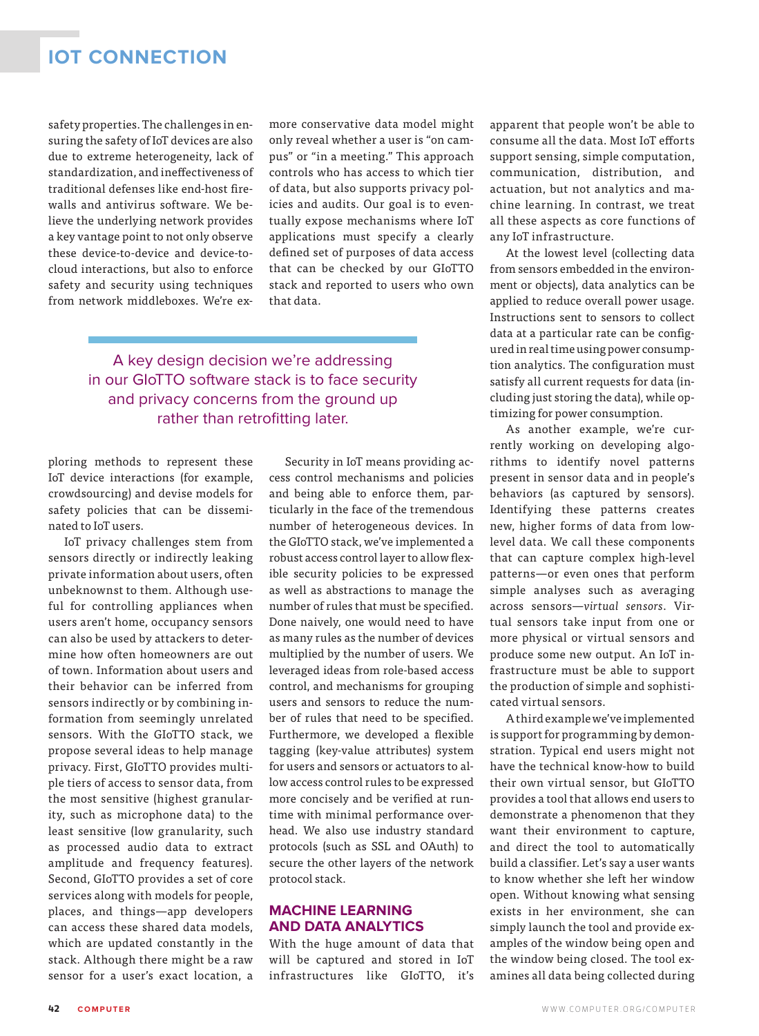# **IOT CONNECTION**

safety properties. The challenges in ensuring the safety of IoT devices are also due to extreme heterogeneity, lack of standardization, and ineffectiveness of traditional defenses like end-host firewalls and antivirus software. We believe the underlying network provides a key vantage point to not only observe these device-to-device and device-tocloud interactions, but also to enforce safety and security using techniques from network middleboxes. We're exmore conservative data model might only reveal whether a user is "on campus" or "in a meeting." This approach controls who has access to which tier of data, but also supports privacy policies and audits. Our goal is to eventually expose mechanisms where IoT applications must specify a clearly defined set of purposes of data access that can be checked by our GIoTTO stack and reported to users who own that data.

A key design decision we're addressing in our GIoTTO software stack is to face security and privacy concerns from the ground up rather than retrofitting later.

ploring methods to represent these IoT device interactions (for example, crowdsourcing) and devise models for safety policies that can be disseminated to IoT users.

IoT privacy challenges stem from sensors directly or indirectly leaking private information about users, often unbeknownst to them. Although useful for controlling appliances when users aren't home, occupancy sensors can also be used by attackers to determine how often homeowners are out of town. Information about users and their behavior can be inferred from sensors indirectly or by combining information from seemingly unrelated sensors. With the GIoTTO stack, we propose several ideas to help manage privacy. First, GIoTTO provides multiple tiers of access to sensor data, from the most sensitive (highest granularity, such as microphone data) to the least sensitive (low granularity, such as processed audio data to extract amplitude and frequency features). Second, GIoTTO provides a set of core services along with models for people, places, and things—app developers can access these shared data models, which are updated constantly in the stack. Although there might be a raw sensor for a user's exact location, a

Security in IoT means providing access control mechanisms and policies and being able to enforce them, particularly in the face of the tremendous number of heterogeneous devices. In the GIoTTO stack, we've implemented a robust access control layer to allow flexible security policies to be expressed as well as abstractions to manage the number of rules that must be specified. Done naively, one would need to have as many rules as the number of devices multiplied by the number of users. We leveraged ideas from role-based access control, and mechanisms for grouping users and sensors to reduce the number of rules that need to be specified. Furthermore, we developed a flexible tagging (key-value attributes) system for users and sensors or actuators to allow access control rules to be expressed more concisely and be verified at runtime with minimal performance overhead. We also use industry standard protocols (such as SSL and OAuth) to secure the other layers of the network protocol stack.

## **MACHINE LEARNING AND DATA ANALYTICS**

With the huge amount of data that will be captured and stored in IoT infrastructures like GIoTTO, it's

apparent that people won't be able to consume all the data. Most IoT efforts support sensing, simple computation, communication, distribution, and actuation, but not analytics and machine learning. In contrast, we treat all these aspects as core functions of any IoT infrastructure.

At the lowest level (collecting data from sensors embedded in the environment or objects), data analytics can be applied to reduce overall power usage. Instructions sent to sensors to collect data at a particular rate can be configured in real time using power consumption analytics. The configuration must satisfy all current requests for data (including just storing the data), while optimizing for power consumption.

As another example, we're currently working on developing algorithms to identify novel patterns present in sensor data and in people's behaviors (as captured by sensors). Identifying these patterns creates new, higher forms of data from lowlevel data. We call these components that can capture complex high-level patterns—or even ones that perform simple analyses such as averaging across sensors—*virtual sensors*. Virtual sensors take input from one or more physical or virtual sensors and produce some new output. An IoT infrastructure must be able to support the production of simple and sophisticated virtual sensors.

A third example we've implemented is support for programming by demonstration. Typical end users might not have the technical know-how to build their own virtual sensor, but GIoTTO provides a tool that allows end users to demonstrate a phenomenon that they want their environment to capture, and direct the tool to automatically build a classifier. Let's say a user wants to know whether she left her window open. Without knowing what sensing exists in her environment, she can simply launch the tool and provide examples of the window being open and the window being closed. The tool examines all data being collected during